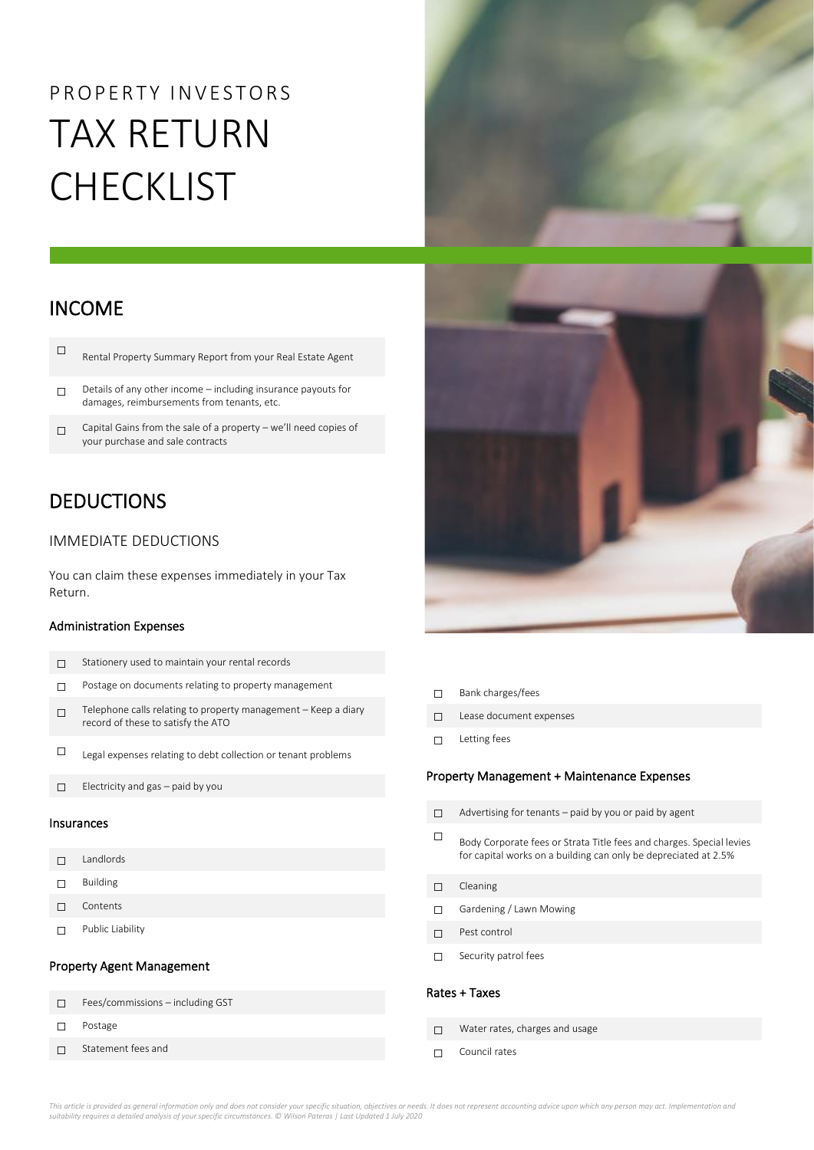# P R O P E R T Y IN VESTORS TAX RETURN **CHECKLIST**

### INCOME

| Rental Property Summary Report from your Real Estate Agent |
|------------------------------------------------------------|
|                                                            |

☐ Details of any other income – including insurance payouts for damages, reimbursements from tenants, etc.

□ Capital Gains from the sale of a property – we'll need copies of your purchase and sale contracts

### DEDUCTIONS

#### IMMEDIATE DEDUCTIONS

You can claim these expenses immediately in your Tax Return.

#### Administration Expenses

☐ Statement fees and

| ┑          | Stationery used to maintain your rental records                                                      |  |  |  |
|------------|------------------------------------------------------------------------------------------------------|--|--|--|
| п          | Postage on documents relating to property management                                                 |  |  |  |
| П          | Telephone calls relating to property management - Keep a diary<br>record of these to satisfy the ATO |  |  |  |
| □          | Legal expenses relating to debt collection or tenant problems                                        |  |  |  |
| П          | Electricity and gas - paid by you                                                                    |  |  |  |
| Insurances |                                                                                                      |  |  |  |
|            |                                                                                                      |  |  |  |
| п          | Landlords                                                                                            |  |  |  |
| □          | <b>Building</b>                                                                                      |  |  |  |
| п          | Contents                                                                                             |  |  |  |
|            | Public Liability                                                                                     |  |  |  |
|            | <b>Property Agent Management</b>                                                                     |  |  |  |
| п          | Fees/commissions - including GST                                                                     |  |  |  |





- ☐ Bank charges/fees
- ☐ Lease document expenses
- ☐ Letting fees

#### Property Management + Maintenance Expenses

| п             | Advertising for tenants – paid by you or paid by agent                                                                                  |  |  |  |
|---------------|-----------------------------------------------------------------------------------------------------------------------------------------|--|--|--|
| П             | Body Corporate fees or Strata Title fees and charges. Special levies<br>for capital works on a building can only be depreciated at 2.5% |  |  |  |
| П             | Cleaning                                                                                                                                |  |  |  |
|               | Gardening / Lawn Mowing                                                                                                                 |  |  |  |
|               | Pest control                                                                                                                            |  |  |  |
|               | Security patrol fees                                                                                                                    |  |  |  |
| Rates + Taxes |                                                                                                                                         |  |  |  |
|               | Water rates, charges and usage                                                                                                          |  |  |  |
|               | Council rates                                                                                                                           |  |  |  |